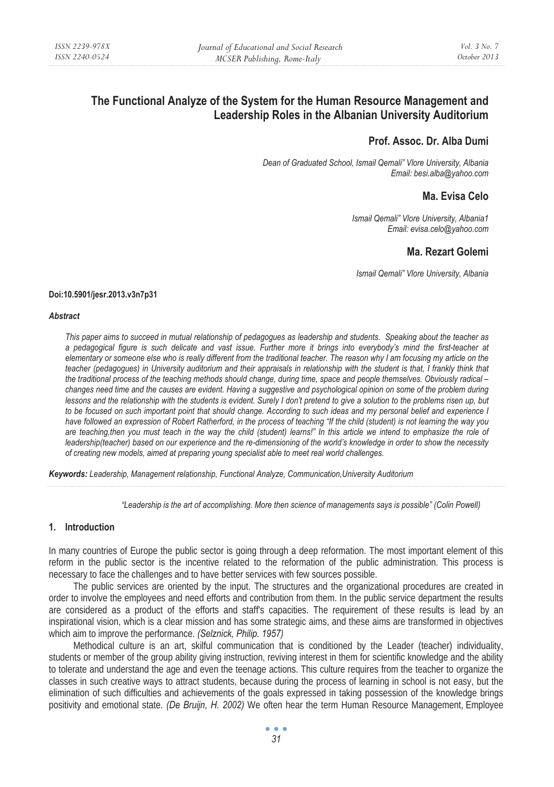# **The Functional Analyze of the System for the Human Resource Management and Leadership Roles in the Albanian University Auditorium**

# **Prof. Assoc. Dr. Alba Dumi**

*Dean of Graduated School, Ismail Qemali" Vlore University, Albania Email: besi.alba@yahoo.com* 

# **Ma. Evisa Celo**

*Ismail Qemali" Vlore University, Albania1 Email: evisa.celo@yahoo.com* 

# **Ma. Rezart Golemi**

*Ismail Qemali" Vlore University, Albania* 

#### **Doi:10.5901/jesr.2013.v3n7p31**

#### *Abstract*

*This paper aims to succeed in mutual relationship of pedagogues as leadership and students. Speaking about the teacher as a pedagogical figure is such delicate and vast issue. Further more it brings into everybody's mind the first-teacher at elementary or someone else who is really different from the traditional teacher. The reason why I am focusing my article on the teacher (pedagogues) in University auditorium and their appraisals in relationship with the student is that, I frankly think that the traditional process of the teaching methods should change, during time, space and people themselves. Obviously radical – changes need time and the causes are evident. Having a suggestive and psychological opinion on some of the problem during lessons and the relationship with the students is evident. Surely I don't pretend to give a solution to the problems risen up, but to be focused on such important point that should change. According to such ideas and my personal belief and experience I have followed an expression of Robert Ratherford, in the process of teaching "If the child (student) is not learning the way you are teaching,then you must teach in the way the child (student) learns!" In this article we intend to emphasize the role of leadership(teacher) based on our experience and the re-dimensioning of the world's knowledge in order to show the necessity of creating new models, aimed at preparing young specialist able to meet real world challenges.* 

*Keywords: Leadership, Management relationship, Functional Analyze, Communication,University Auditorium* 

*"Leadership is the art of accomplishing. More then science of managements says is possible" (Colin Powell)* 

## **1. Introduction**

In many countries of Europe the public sector is going through a deep reformation. The most important element of this reform in the public sector is the incentive related to the reformation of the public administration. This process is necessary to face the challenges and to have better services with few sources possible.

The public services are oriented by the input. The structures and the organizational procedures are created in order to involve the employees and need efforts and contribution from them. In the public service department the results are considered as a product of the efforts and staff's capacities. The requirement of these results is lead by an inspirational vision, which is a clear mission and has some strategic aims, and these aims are transformed in objectives which aim to improve the performance. *(Selznick, Philip. 1957)* 

Methodical culture is an art, skilful communication that is conditioned by the Leader (teacher) individuality, students or member of the group ability giving instruction, reviving interest in them for scientific knowledge and the ability to tolerate and understand the age and even the teenage actions. This culture requires from the teacher to organize the classes in such creative ways to attract students, because during the process of learning in school is not easy, but the elimination of such difficulties and achievements of the goals expressed in taking possession of the knowledge brings positivity and emotional state. *(De Bruijn, H. 2002)* We often hear the term Human Resource Management, Employee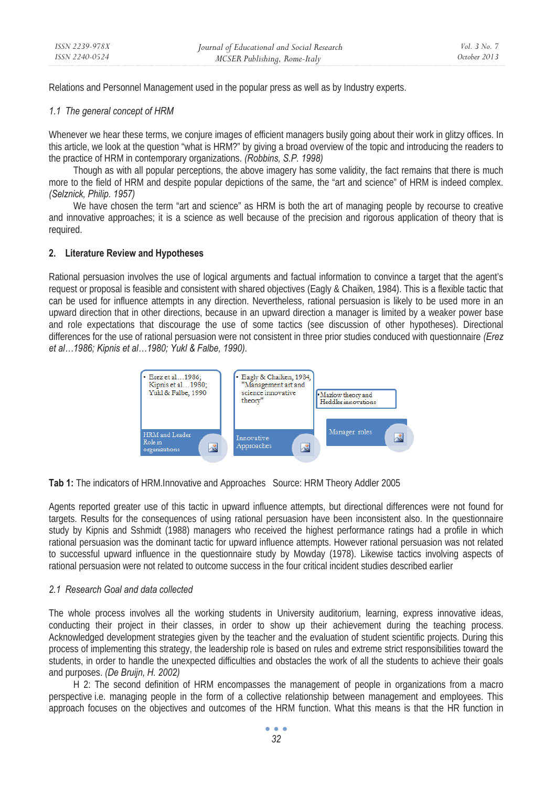Relations and Personnel Management used in the popular press as well as by Industry experts.

#### *1.1 The general concept of HRM*

Whenever we hear these terms, we conjure images of efficient managers busily going about their work in glitzy offices. In this article, we look at the question "what is HRM?" by giving a broad overview of the topic and introducing the readers to the practice of HRM in contemporary organizations. *(Robbins, S.P. 1998)* 

Though as with all popular perceptions, the above imagery has some validity, the fact remains that there is much more to the field of HRM and despite popular depictions of the same, the "art and science" of HRM is indeed complex. *(Selznick, Philip. 1957)* 

We have chosen the term "art and science" as HRM is both the art of managing people by recourse to creative and innovative approaches; it is a science as well because of the precision and rigorous application of theory that is required.

## **2. Literature Review and Hypotheses**

Rational persuasion involves the use of logical arguments and factual information to convince a target that the agent's request or proposal is feasible and consistent with shared objectives (Eagly & Chaiken, 1984). This is a flexible tactic that can be used for influence attempts in any direction. Nevertheless, rational persuasion is likely to be used more in an upward direction that in other directions, because in an upward direction a manager is limited by a weaker power base and role expectations that discourage the use of some tactics (see discussion of other hypotheses). Directional differences for the use of rational persuasion were not consistent in three prior studies conduced with questionnaire *(Erez et al…1986; Kipnis et al…1980; Yukl & Falbe, 1990).* 



**Tab 1:** The indicators of HRM.Innovative and Approaches Source: HRM Theory Addler 2005

Agents reported greater use of this tactic in upward influence attempts, but directional differences were not found for targets. Results for the consequences of using rational persuasion have been inconsistent also. In the questionnaire study by Kipnis and Sshmidt (1988) managers who received the highest performance ratings had a profile in which rational persuasion was the dominant tactic for upward influence attempts. However rational persuasion was not related to successful upward influence in the questionnaire study by Mowday (1978). Likewise tactics involving aspects of rational persuasion were not related to outcome success in the four critical incident studies described earlier

#### *2.1 Research Goal and data collected*

The whole process involves all the working students in University auditorium, learning, express innovative ideas, conducting their project in their classes, in order to show up their achievement during the teaching process. Acknowledged development strategies given by the teacher and the evaluation of student scientific projects. During this process of implementing this strategy, the leadership role is based on rules and extreme strict responsibilities toward the students, in order to handle the unexpected difficulties and obstacles the work of all the students to achieve their goals and purposes. *(De Bruijn, H. 2002)* 

H 2: The second definition of HRM encompasses the management of people in organizations from a macro perspective i.e. managing people in the form of a collective relationship between management and employees. This approach focuses on the objectives and outcomes of the HRM function. What this means is that the HR function in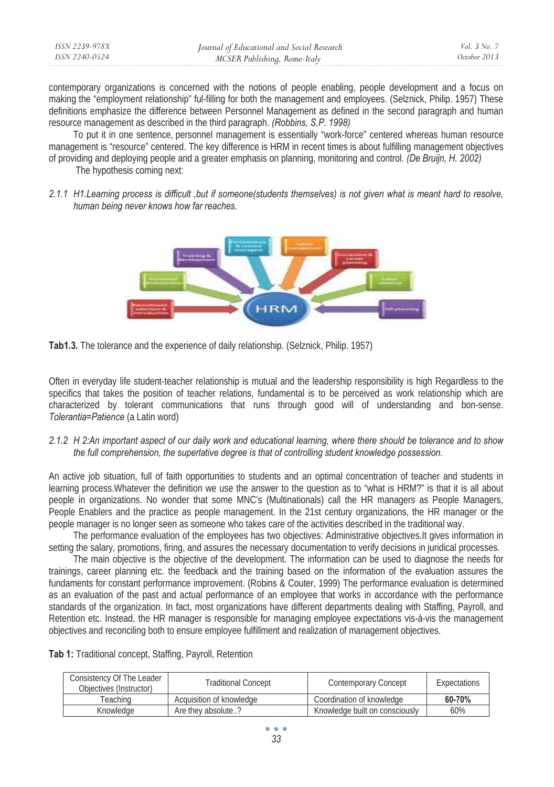| ISSN 2239-978X | Journal of Educational and Social Research | Vol. 3 No. 7 |
|----------------|--------------------------------------------|--------------|
| ISSN 2240-0524 | MCSER Publishing, Rome-Italy               | October 2013 |

contemporary organizations is concerned with the notions of people enabling, people development and a focus on making the "employment relationship" ful-filling for both the management and employees. (Selznick, Philip. 1957) These definitions emphasize the difference between Personnel Management as defined in the second paragraph and human resource management as described in the third paragraph. *(Robbins, S.P. 1998)* 

To put it in one sentence, personnel management is essentially "work-force" centered whereas human resource management is "resource" centered. The key difference is HRM in recent times is about fulfilling management objectives of providing and deploying people and a greater emphasis on planning, monitoring and control. *(De Bruijn, H. 2002)* 

The hypothesis coming next:

*2.1.1 H1.Learning process is difficult ,but if someone(students themselves) is not given what is meant hard to resolve, human being never knows how far reaches.* 



**Tab1.3.** The tolerance and the experience of daily relationship. (Selznick, Philip. 1957)

Often in everyday life student-teacher relationship is mutual and the leadership responsibility is high Regardless to the specifics that takes the position of teacher relations, fundamental is to be perceived as work relationship which are characterized by tolerant communications that runs through good will of understanding and bon-sense. *Tolerantia=Patience* (a Latin word)

# *2.1.2 H 2:An important aspect of our daily work and educational learning, where there should be tolerance and to show the full comprehension, the superlative degree is that of controlling student knowledge possession.*

An active job situation, full of faith opportunities to students and an optimal concentration of teacher and students in learning process.Whatever the definition we use the answer to the question as to "what is HRM?" is that it is all about people in organizations. No wonder that some MNC's (Multinationals) call the HR managers as People Managers, People Enablers and the practice as people management. In the 21st century organizations, the HR manager or the people manager is no longer seen as someone who takes care of the activities described in the traditional way.

The performance evaluation of the employees has two objectives: Administrative objectives.It gives information in setting the salary, promotions, firing, and assures the necessary documentation to verify decisions in juridical processes.

The main objective is the objective of the development. The information can be used to diagnose the needs for trainings, career planning etc. the feedback and the training based on the information of the evaluation assures the fundaments for constant performance improvement. (Robins & Couter, 1999) The performance evaluation is determined as an evaluation of the past and actual performance of an employee that works in accordance with the performance standards of the organization. In fact, most organizations have different departments dealing with Staffing, Payroll, and Retention etc. Instead, the HR manager is responsible for managing employee expectations vis-à-vis the management objectives and reconciling both to ensure employee fulfillment and realization of management objectives.

**Tab 1:** Traditional concept, Staffing, Payroll, Retention

| Consistency Of The Leader<br>Objectives (Instructor) | <b>Traditional Concept</b> | Contemporary Concept           | Expectations |
|------------------------------------------------------|----------------------------|--------------------------------|--------------|
| Геасhinɑ                                             | Acquisition of knowledge   | Coordination of knowledge      | 60-70%       |
| Knowledge                                            | Are they absolute?         | Knowledge built on consciously | 60%          |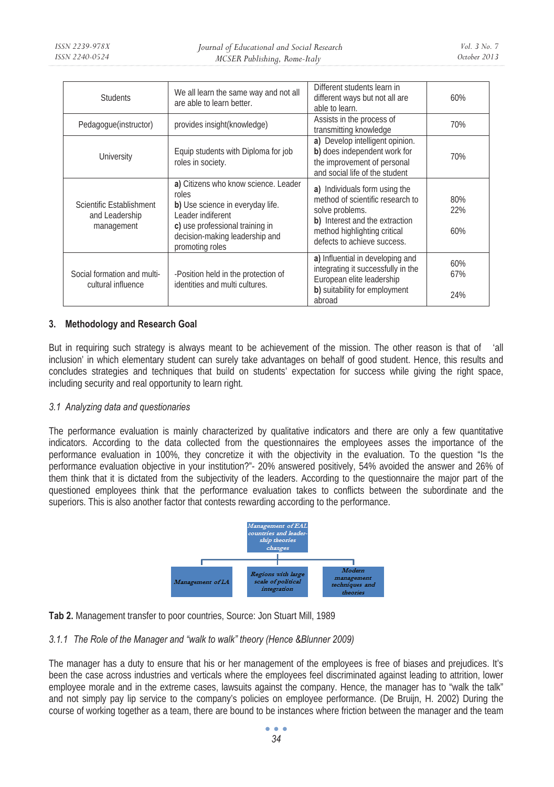| <b>Students</b>                                          | We all learn the same way and not all<br>are able to learn better.                                                                                                                             | Different students learn in<br>different ways but not all are<br>able to learn.                                                                                                       | 60%               |
|----------------------------------------------------------|------------------------------------------------------------------------------------------------------------------------------------------------------------------------------------------------|---------------------------------------------------------------------------------------------------------------------------------------------------------------------------------------|-------------------|
| Pedagogue(instructor)                                    | provides insight(knowledge)                                                                                                                                                                    | Assists in the process of<br>transmitting knowledge                                                                                                                                   | 70%               |
| University                                               | Equip students with Diploma for job<br>roles in society.                                                                                                                                       | a) Develop intelligent opinion.<br>b) does independent work for<br>the improvement of personal<br>and social life of the student                                                      | 70%               |
| Scientific Establishment<br>and Leadership<br>management | a) Citizens who know science. Leader<br>roles<br>b) Use science in everyday life.<br>Leader indiferent<br>c) use professional training in<br>decision-making leadership and<br>promoting roles | a) Individuals form using the<br>method of scientific research to<br>solve problems.<br>b) Interest and the extraction<br>method highlighting critical<br>defects to achieve success. | 80%<br>22%<br>60% |
| Social formation and multi-<br>cultural influence        | -Position held in the protection of<br>identities and multi cultures.                                                                                                                          | a) Influential in developing and<br>integrating it successfully in the<br>European elite leadership<br>b) suitability for employment<br>abroad                                        | 60%<br>67%<br>24% |

# **3. Methodology and Research Goal**

But in requiring such strategy is always meant to be achievement of the mission. The other reason is that of 'all inclusion' in which elementary student can surely take advantages on behalf of good student. Hence, this results and concludes strategies and techniques that build on students' expectation for success while giving the right space, including security and real opportunity to learn right.

# *3.1 Analyzing data and questionaries*

The performance evaluation is mainly characterized by qualitative indicators and there are only a few quantitative indicators. According to the data collected from the questionnaires the employees asses the importance of the performance evaluation in 100%, they concretize it with the objectivity in the evaluation. To the question "Is the performance evaluation objective in your institution?"- 20% answered positively, 54% avoided the answer and 26% of them think that it is dictated from the subjectivity of the leaders. According to the questionnaire the major part of the questioned employees think that the performance evaluation takes to conflicts between the subordinate and the superiors. This is also another factor that contests rewarding according to the performance.



**Tab 2.** Management transfer to poor countries, Source: Jon Stuart Mill, 1989

# *3.1.1 The Role of the Manager and "walk to walk" theory (Hence &Blunner 2009)*

The manager has a duty to ensure that his or her management of the employees is free of biases and prejudices. It's been the case across industries and verticals where the employees feel discriminated against leading to attrition, lower employee morale and in the extreme cases, lawsuits against the company. Hence, the manager has to "walk the talk" and not simply pay lip service to the company's policies on employee performance. (De Bruijn, H. 2002) During the course of working together as a team, there are bound to be instances where friction between the manager and the team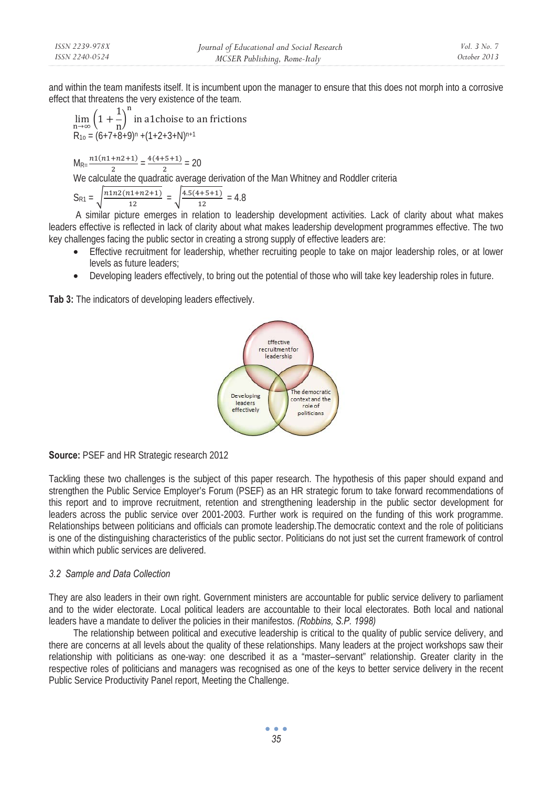and within the team manifests itself. It is incumbent upon the manager to ensure that this does not morph into a corrosive effect that threatens the very existence of the team.

 $\lim_{n\to\infty}\left(1+\frac{1}{n}\right)$ ୬ in a1choise to an frictions  $R_{10} = (6+7+8+9)^{n} + (1+2+3+N)^{n+1}$ 

 $M_{\text{R} = \frac{n1(n1+n2+1)}{2}} = \frac{4(4+5+1)}{2} = 20$ 

We calculate the quadratic average derivation of the Man Whitney and Roddler criteria

 $S_{R1} = \sqrt{\frac{n1n2(n1+n2+1)}{12}} = \sqrt{\frac{4.5(4+5+1)}{12}} = 4.8$ 

 A similar picture emerges in relation to leadership development activities. Lack of clarity about what makes leaders effective is reflected in lack of clarity about what makes leadership development programmes effective. The two key challenges facing the public sector in creating a strong supply of effective leaders are:

- Effective recruitment for leadership, whether recruiting people to take on major leadership roles, or at lower levels as future leaders;
- Developing leaders effectively, to bring out the potential of those who will take key leadership roles in future.

**Tab 3:** The indicators of developing leaders effectively.



**Source:** PSEF and HR Strategic research 2012

Tackling these two challenges is the subject of this paper research. The hypothesis of this paper should expand and strengthen the Public Service Employer's Forum (PSEF) as an HR strategic forum to take forward recommendations of this report and to improve recruitment, retention and strengthening leadership in the public sector development for leaders across the public service over 2001-2003. Further work is required on the funding of this work programme. Relationships between politicians and officials can promote leadership.The democratic context and the role of politicians is one of the distinguishing characteristics of the public sector. Politicians do not just set the current framework of control within which public services are delivered.

## *3.2 Sample and Data Collection*

They are also leaders in their own right. Government ministers are accountable for public service delivery to parliament and to the wider electorate. Local political leaders are accountable to their local electorates. Both local and national leaders have a mandate to deliver the policies in their manifestos. *(Robbins, S.P. 1998)* 

The relationship between political and executive leadership is critical to the quality of public service delivery, and there are concerns at all levels about the quality of these relationships. Many leaders at the project workshops saw their relationship with politicians as one-way: one described it as a "master–servant" relationship. Greater clarity in the respective roles of politicians and managers was recognised as one of the keys to better service delivery in the recent Public Service Productivity Panel report, Meeting the Challenge.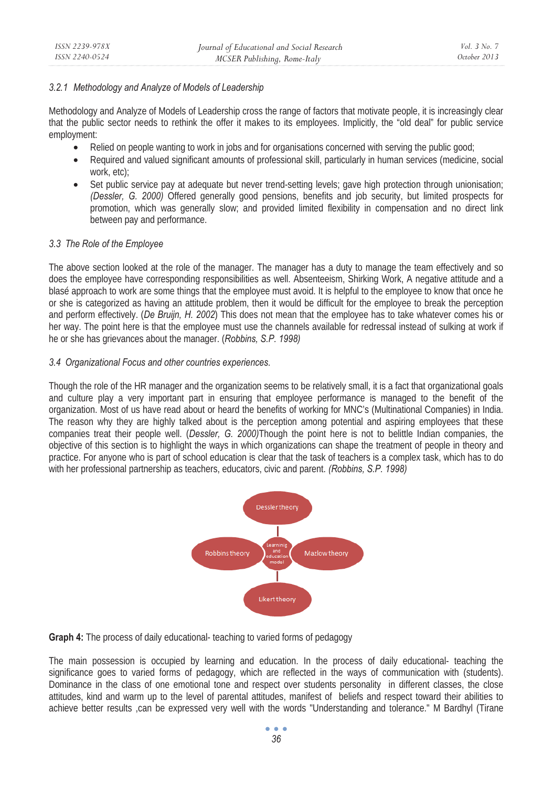# *3.2.1 Methodology and Analyze of Models of Leadership*

Methodology and Analyze of Models of Leadership cross the range of factors that motivate people, it is increasingly clear that the public sector needs to rethink the offer it makes to its employees. Implicitly, the "old deal" for public service employment:

- Relied on people wanting to work in jobs and for organisations concerned with serving the public good;
- Required and valued significant amounts of professional skill, particularly in human services (medicine, social work, etc);
- Set public service pay at adequate but never trend-setting levels; gave high protection through unionisation; *(Dessler, G. 2000)* Offered generally good pensions, benefits and job security, but limited prospects for promotion, which was generally slow; and provided limited flexibility in compensation and no direct link between pay and performance.

## *3.3 The Role of the Employee*

The above section looked at the role of the manager. The manager has a duty to manage the team effectively and so does the employee have corresponding responsibilities as well. Absenteeism, Shirking Work, A negative attitude and a blasé approach to work are some things that the employee must avoid. It is helpful to the employee to know that once he or she is categorized as having an attitude problem, then it would be difficult for the employee to break the perception and perform effectively. (*De Bruijn, H. 2002*) This does not mean that the employee has to take whatever comes his or her way. The point here is that the employee must use the channels available for redressal instead of sulking at work if he or she has grievances about the manager. (*Robbins, S.P. 1998)* 

## *3.4 Organizational Focus and other countries experiences.*

Though the role of the HR manager and the organization seems to be relatively small, it is a fact that organizational goals and culture play a very important part in ensuring that employee performance is managed to the benefit of the organization. Most of us have read about or heard the benefits of working for MNC's (Multinational Companies) in India. The reason why they are highly talked about is the perception among potential and aspiring employees that these companies treat their people well. (*Dessler, G. 2000)*Though the point here is not to belittle Indian companies, the objective of this section is to highlight the ways in which organizations can shape the treatment of people in theory and practice. For anyone who is part of school education is clear that the task of teachers is a complex task, which has to do with her professional partnership as teachers, educators, civic and parent. *(Robbins, S.P. 1998)* 



**Graph 4:** The process of daily educational-teaching to varied forms of pedagogy

The main possession is occupied by learning and education. In the process of daily educational- teaching the significance goes to varied forms of pedagogy, which are reflected in the ways of communication with (students). Dominance in the class of one emotional tone and respect over students personality in different classes, the close attitudes, kind and warm up to the level of parental attitudes, manifest of beliefs and respect toward their abilities to achieve better results ,can be expressed very well with the words "Understanding and tolerance." M Bardhyl (Tirane